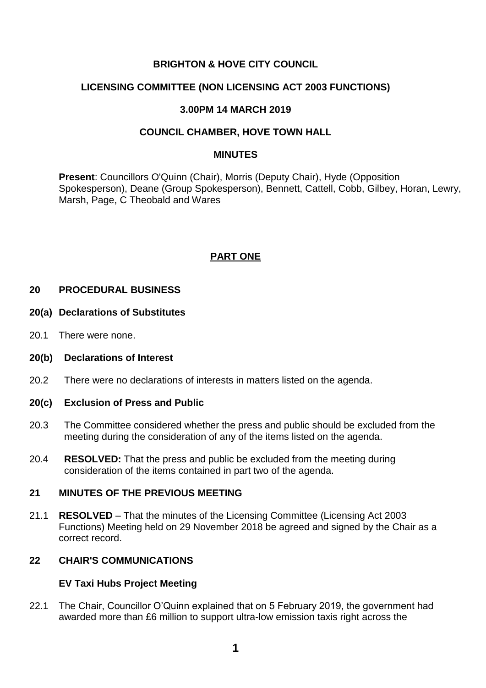# **BRIGHTON & HOVE CITY COUNCIL**

## **LICENSING COMMITTEE (NON LICENSING ACT 2003 FUNCTIONS)**

### **3.00PM 14 MARCH 2019**

### **COUNCIL CHAMBER, HOVE TOWN HALL**

#### **MINUTES**

**Present**: Councillors O'Quinn (Chair), Morris (Deputy Chair), Hyde (Opposition Spokesperson), Deane (Group Spokesperson), Bennett, Cattell, Cobb, Gilbey, Horan, Lewry, Marsh, Page, C Theobald and Wares

# **PART ONE**

# **20 PROCEDURAL BUSINESS**

#### **20(a) Declarations of Substitutes**

20.1 There were none.

#### **20(b) Declarations of Interest**

20.2 There were no declarations of interests in matters listed on the agenda.

### **20(c) Exclusion of Press and Public**

- 20.3 The Committee considered whether the press and public should be excluded from the meeting during the consideration of any of the items listed on the agenda.
- 20.4 **RESOLVED:** That the press and public be excluded from the meeting during consideration of the items contained in part two of the agenda.

### **21 MINUTES OF THE PREVIOUS MEETING**

21.1 **RESOLVED** – That the minutes of the Licensing Committee (Licensing Act 2003 Functions) Meeting held on 29 November 2018 be agreed and signed by the Chair as a correct record.

# **22 CHAIR'S COMMUNICATIONS**

### **EV Taxi Hubs Project Meeting**

22.1 The Chair, Councillor O'Quinn explained that on 5 February 2019, the government had awarded more than £6 million to support ultra-low emission taxis right across the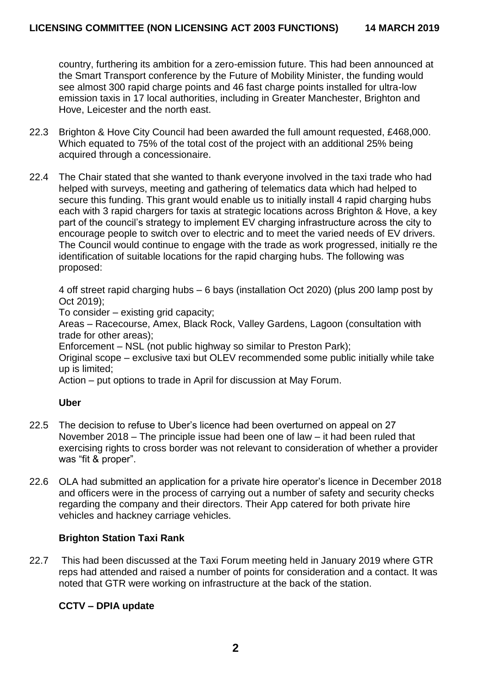country, furthering its ambition for a zero-emission future. This had been announced at the Smart Transport conference by the Future of Mobility Minister, the funding would see almost 300 rapid charge points and 46 fast charge points installed for ultra-low emission taxis in 17 local authorities, including in Greater Manchester, Brighton and Hove, Leicester and the north east.

- 22.3 Brighton & Hove City Council had been awarded the full amount requested, £468,000. Which equated to 75% of the total cost of the project with an additional 25% being acquired through a concessionaire.
- 22.4 The Chair stated that she wanted to thank everyone involved in the taxi trade who had helped with surveys, meeting and gathering of telematics data which had helped to secure this funding. This grant would enable us to initially install 4 rapid charging hubs each with 3 rapid chargers for taxis at strategic locations across Brighton & Hove, a key part of the council's strategy to implement EV charging infrastructure across the city to encourage people to switch over to electric and to meet the varied needs of EV drivers. The Council would continue to engage with the trade as work progressed, initially re the identification of suitable locations for the rapid charging hubs. The following was proposed:

4 off street rapid charging hubs – 6 bays (installation Oct 2020) (plus 200 lamp post by Oct 2019);

To consider – existing grid capacity;

Areas – Racecourse, Amex, Black Rock, Valley Gardens, Lagoon (consultation with trade for other areas);

Enforcement – NSL (not public highway so similar to Preston Park);

Original scope – exclusive taxi but OLEV recommended some public initially while take up is limited;

Action – put options to trade in April for discussion at May Forum.

### **Uber**

- 22.5 The decision to refuse to Uber's licence had been overturned on appeal on 27 November 2018 – The principle issue had been one of law – it had been ruled that exercising rights to cross border was not relevant to consideration of whether a provider was "fit & proper".
- 22.6 OLA had submitted an application for a private hire operator's licence in December 2018 and officers were in the process of carrying out a number of safety and security checks regarding the company and their directors. Their App catered for both private hire vehicles and hackney carriage vehicles.

### **Brighton Station Taxi Rank**

22.7 This had been discussed at the Taxi Forum meeting held in January 2019 where GTR reps had attended and raised a number of points for consideration and a contact. It was noted that GTR were working on infrastructure at the back of the station.

### **CCTV – DPIA update**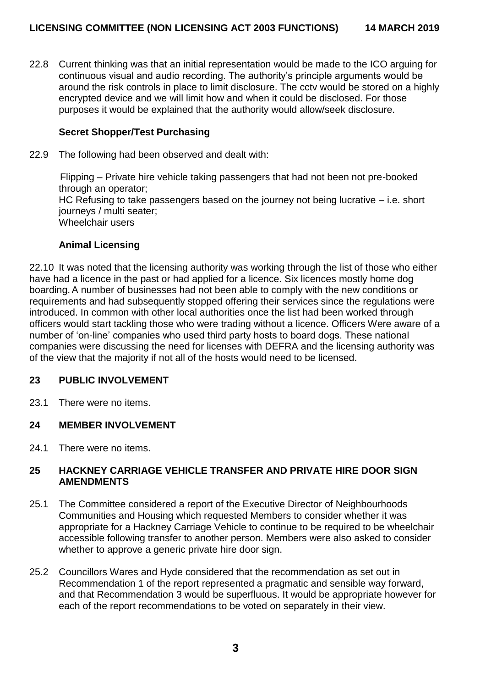22.8 Current thinking was that an initial representation would be made to the ICO arguing for continuous visual and audio recording. The authority's principle arguments would be around the risk controls in place to limit disclosure. The cctv would be stored on a highly encrypted device and we will limit how and when it could be disclosed. For those purposes it would be explained that the authority would allow/seek disclosure.

# **Secret Shopper/Test Purchasing**

22.9 The following had been observed and dealt with:

Flipping – Private hire vehicle taking passengers that had not been not pre-booked through an operator; HC Refusing to take passengers based on the journey not being lucrative – i.e. short journeys / multi seater; Wheelchair users

### **Animal Licensing**

22.10 It was noted that the licensing authority was working through the list of those who either have had a licence in the past or had applied for a licence. Six licences mostly home dog boarding.A number of businesses had not been able to comply with the new conditions or requirements and had subsequently stopped offering their services since the regulations were introduced. In common with other local authorities once the list had been worked through officers would start tackling those who were trading without a licence. Officers Were aware of a number of 'on-line' companies who used third party hosts to board dogs. These national companies were discussing the need for licenses with DEFRA and the licensing authority was of the view that the majority if not all of the hosts would need to be licensed.

### **23 PUBLIC INVOLVEMENT**

23.1 There were no items.

# **24 MEMBER INVOLVEMENT**

24.1 There were no items.

### **25 HACKNEY CARRIAGE VEHICLE TRANSFER AND PRIVATE HIRE DOOR SIGN AMENDMENTS**

- 25.1 The Committee considered a report of the Executive Director of Neighbourhoods Communities and Housing which requested Members to consider whether it was appropriate for a Hackney Carriage Vehicle to continue to be required to be wheelchair accessible following transfer to another person. Members were also asked to consider whether to approve a generic private hire door sign.
- 25.2 Councillors Wares and Hyde considered that the recommendation as set out in Recommendation 1 of the report represented a pragmatic and sensible way forward, and that Recommendation 3 would be superfluous. It would be appropriate however for each of the report recommendations to be voted on separately in their view.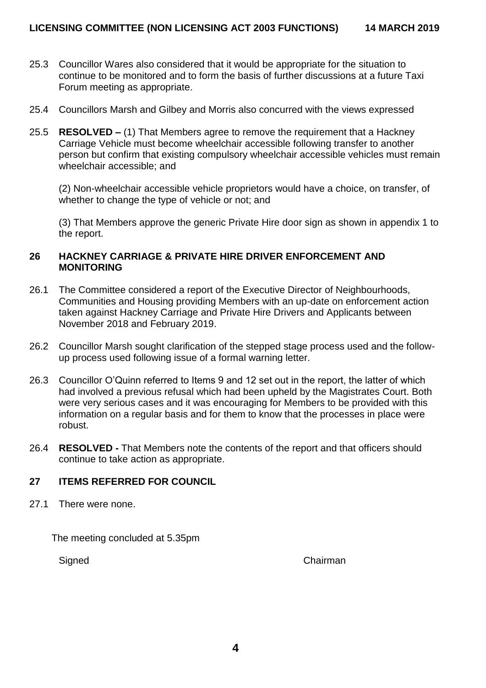- 25.3 Councillor Wares also considered that it would be appropriate for the situation to continue to be monitored and to form the basis of further discussions at a future Taxi Forum meeting as appropriate.
- 25.4 Councillors Marsh and Gilbey and Morris also concurred with the views expressed
- 25.5 **RESOLVED –** (1) That Members agree to remove the requirement that a Hackney Carriage Vehicle must become wheelchair accessible following transfer to another person but confirm that existing compulsory wheelchair accessible vehicles must remain wheelchair accessible; and

(2) Non-wheelchair accessible vehicle proprietors would have a choice, on transfer, of whether to change the type of vehicle or not; and

(3) That Members approve the generic Private Hire door sign as shown in appendix 1 to the report.

### **26 HACKNEY CARRIAGE & PRIVATE HIRE DRIVER ENFORCEMENT AND MONITORING**

- 26.1 The Committee considered a report of the Executive Director of Neighbourhoods, Communities and Housing providing Members with an up-date on enforcement action taken against Hackney Carriage and Private Hire Drivers and Applicants between November 2018 and February 2019.
- 26.2 Councillor Marsh sought clarification of the stepped stage process used and the followup process used following issue of a formal warning letter.
- 26.3 Councillor O'Quinn referred to Items 9 and 12 set out in the report, the latter of which had involved a previous refusal which had been upheld by the Magistrates Court. Both were very serious cases and it was encouraging for Members to be provided with this information on a regular basis and for them to know that the processes in place were robust.
- 26.4 **RESOLVED -** That Members note the contents of the report and that officers should continue to take action as appropriate.

# **27 ITEMS REFERRED FOR COUNCIL**

27.1 There were none.

The meeting concluded at 5.35pm

Signed Chairman